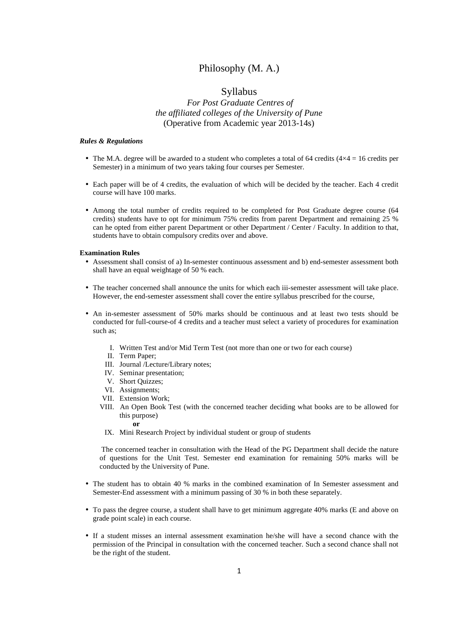# Philosophy (M. A.)

# Syllabus

# *For Post Graduate Centres of the affiliated colleges of the University of Pune*  (Operative from Academic year 2013-14s)

#### *Rules & Regulations*

- The M.A. degree will be awarded to a student who completes a total of 64 credits ( $4\times4 = 16$  credits per Semester) in a minimum of two years taking four courses per Semester.
- Each paper will be of 4 credits, the evaluation of which will be decided by the teacher. Each 4 credit course will have 100 marks.
- Among the total number of credits required to be completed for Post Graduate degree course (64 credits) students have to opt for minimum 75% credits from parent Department and remaining 25 % can he opted from either parent Department or other Department / Center / Faculty. In addition to that, students have to obtain compulsory credits over and above.

#### **Examination Rules**

- Assessment shall consist of a) In-semester continuous assessment and b) end-semester assessment both shall have an equal weightage of 50 % each.
- The teacher concerned shall announce the units for which each iii-semester assessment will take place. However, the end-semester assessment shall cover the entire syllabus prescribed for the course,
- An in-semester assessment of 50% marks should be continuous and at least two tests should be conducted for full-course-of 4 credits and a teacher must select a variety of procedures for examination such as;
	- I. Written Test and/or Mid Term Test (not more than one or two for each course)
	- II. Term Paper;
	- III. Journal /Lecture/Library notes;
	- IV. Seminar presentation;
	- V. Short Quizzes;
	- VI. Assignments;
	- VII. Extension Work;
	- VIII. An Open Book Test (with the concerned teacher deciding what books are to be allowed for this purpose)
		- **or**
	- IX. Mini Research Project by individual student or group of students

 The concerned teacher in consultation with the Head of the PG Department shall decide the nature of questions for the Unit Test. Semester end examination for remaining 50% marks will be conducted by the University of Pune.

- The student has to obtain 40 % marks in the combined examination of In Semester assessment and Semester-End assessment with a minimum passing of 30 % in both these separately.
- To pass the degree course, a student shall have to get minimum aggregate 40% marks (E and above on grade point scale) in each course.
- If a student misses an internal assessment examination he/she will have a second chance with the permission of the Principal in consultation with the concerned teacher. Such a second chance shall not be the right of the student.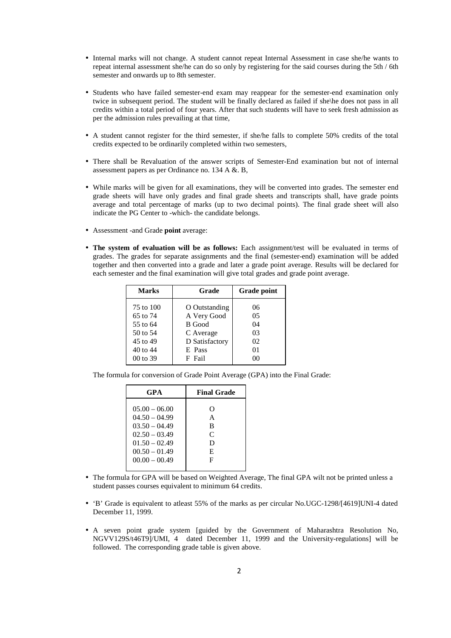- Internal marks will not change. A student cannot repeat Internal Assessment in case she/he wants to repeat internal assessment she/he can do so only by registering for the said courses during the 5th / 6th semester and onwards up to 8th semester.
- Students who have failed semester-end exam may reappear for the semester-end examination only twice in subsequent period. The student will be finally declared as failed if she\he does not pass in all credits within a total period of four years. After that such students will have to seek fresh admission as per the admission rules prevailing at that time,
- A student cannot register for the third semester, if she/he falls to complete 50% credits of the total credits expected to be ordinarily completed within two semesters,
- There shall be Revaluation of the answer scripts of Semester-End examination but not of internal assessment papers as per Ordinance no. 134 A &. B,
- While marks will be given for all examinations, they will be converted into grades. The semester end grade sheets will have only grades and final grade sheets and transcripts shall, have grade points average and total percentage of marks (up to two decimal points). The final grade sheet will also indicate the PG Center to -which- the candidate belongs.
- Assessment -and Grade **point** average:
- **The system of evaluation will be as follows:** Each assignment/test will be evaluated in terms of grades. The grades for separate assignments and the final (semester-end) examination will be added together and then converted into a grade and later a grade point average. Results will be declared for each semester and the final examination will give total grades and grade point average.

| <b>Marks</b>                                                          | Grade                                                                           | <b>Grade point</b>                           |
|-----------------------------------------------------------------------|---------------------------------------------------------------------------------|----------------------------------------------|
| 75 to 100<br>65 to 74<br>55 to 64<br>50 to 54<br>45 to 49<br>40 to 44 | O Outstanding<br>A Very Good<br>B Good<br>C Average<br>D Satisfactory<br>E Pass | 06<br>0 <sub>5</sub><br>04<br>03<br>02<br>01 |
| 00 to 39                                                              | F Fail                                                                          | 00                                           |

The formula for conversion of Grade Point Average (GPA) into the Final Grade:

| GPA             | <b>Final Grade</b> |
|-----------------|--------------------|
| $05.00 - 06.00$ | O                  |
| $04.50 - 04.99$ | A                  |
| $03.50 - 04.49$ | B                  |
| $02.50 - 03.49$ | $\mathsf{C}$       |
| $01.50 - 02.49$ | D                  |
| $00.50 - 01.49$ | E                  |
| $00.00 - 00.49$ | F                  |
|                 |                    |

- The formula for GPA will be based on Weighted Average, The final GPA wilt not be printed unless a student passes courses equivalent to minimum 64 credits.
- 'B' Grade is equivalent to at east 55% of the marks as per circular No.UGC-1298/[4619]UNI-4 dated December 11, 1999.
- A seven point grade system [guided by the Government of Maharashtra Resolution No, NGVV129S/t46T9]/UMI, 4 dated December 11, 1999 and the University-regulations] will be followed. The corresponding grade table is given above.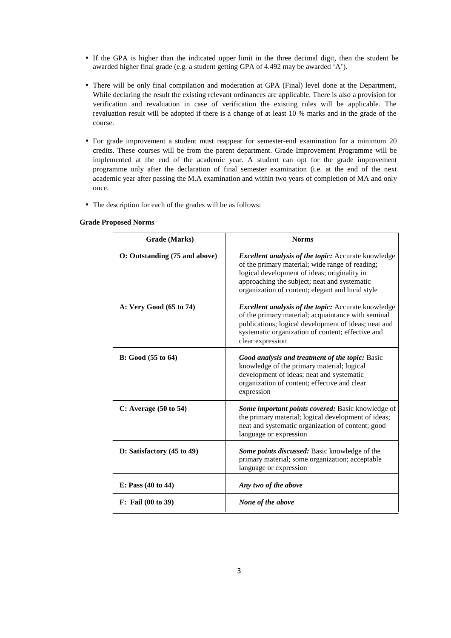- If the GPA is higher than the indicated upper limit in the three decimal digit, then the student be awarded higher final grade (e.g. a student getting GPA of 4.492 may be awarded 'A').
- There will be only final compilation and moderation at GPA (Final) level done at the Department, While declaring the result the existing relevant ordinances are applicable. There is also a provision for verification and revaluation in case of verification the existing rules will be applicable. The revaluation result will be adopted if there is a change of at least 10 % marks and in the grade of the course.
- For grade improvement a student must reappear for semester-end examination for a minimum 20 credits. These courses will be from the parent department. Grade Improvement Programme will be implemented at the end of the academic year. A student can opt for the grade improvement programme only after the declaration of final semester examination (i.e. at the end of the next academic year after passing the M.A examination and within two years of completion of MA and only once.
- The description for each of the grades will be as follows:

| Grade (Marks)                         | <b>Norms</b>                                                                                                                                                                                                                                                      |  |
|---------------------------------------|-------------------------------------------------------------------------------------------------------------------------------------------------------------------------------------------------------------------------------------------------------------------|--|
| O: Outstanding (75 and above)         | <b>Excellent analysis of the topic:</b> Accurate knowledge<br>of the primary material; wide range of reading;<br>logical development of ideas; originality in<br>approaching the subject; neat and systematic<br>organization of content; elegant and lucid style |  |
| A: Very Good (65 to 74)               | <b>Excellent analysis of the topic:</b> Accurate knowledge<br>of the primary material; acquaintance with seminal<br>publications; logical development of ideas; neat and<br>systematic organization of content; effective and<br>clear expression                 |  |
| <b>B</b> : Good (55 to 64)            | <b>Good analysis and treatment of the topic: Basic</b><br>knowledge of the primary material; logical<br>development of ideas; neat and systematic<br>organization of content; effective and clear<br>expression                                                   |  |
| C: Average (50 to 54)                 | Some important points covered: Basic knowledge of<br>the primary material; logical development of ideas;<br>neat and systematic organization of content; good<br>language or expression                                                                           |  |
| D: Satisfactory $(45 \text{ to } 49)$ | Some points discussed: Basic knowledge of the<br>primary material; some organization; acceptable<br>language or expression                                                                                                                                        |  |
| E: Pass $(40 \text{ to } 44)$         | Any two of the above                                                                                                                                                                                                                                              |  |
| F: Fail (00 to 39)                    | None of the above                                                                                                                                                                                                                                                 |  |

#### **Grade Proposed Norms**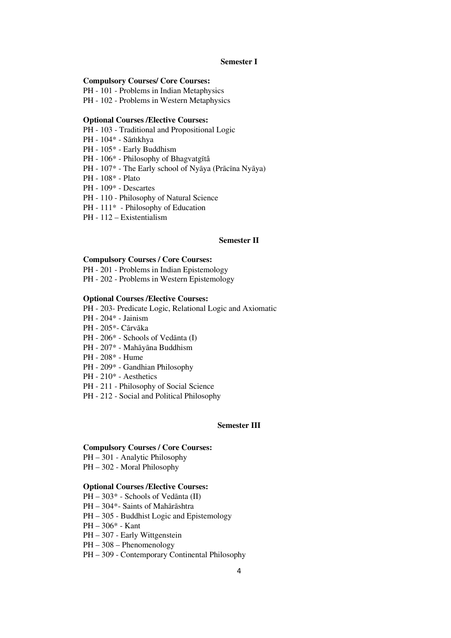#### **Semester I**

#### **Compulsory Courses/ Core Courses:**

PH - 101 - Problems in Indian Metaphysics

PH - 102 - Problems in Western Metaphysics

#### **Optional Courses /Elective Courses:**

- PH 103 Traditional and Propositional Logic
- PH 104\* Sāṁkhya
- PH 105\* Early Buddhism
- PH 106\* Philosophy of Bhagvatgītâ
- PH 107\* The Early school of Nyāya (Prācīna Nyāya)
- PH 108\* Plato
- PH 109\* Descartes
- PH 110 Philosophy of Natural Science
- PH 111<sup>\*</sup> Philosophy of Education
- PH 112 Existentialism

## **Semester II**

#### **Compulsory Courses / Core Courses:**

PH - 201 - Problems in Indian Epistemology

PH - 202 - Problems in Western Epistemology

#### **Optional Courses /Elective Courses:**

PH - 203- Predicate Logic, Relational Logic and Axiomatic

- PH 204\* Jainism
- PH 205\*- Cārvāka
- PH 206<sup>\*</sup> Schools of Vedānta (I)
- PH 207\* Mahāyāna Buddhism
- PH 208\* Hume
- PH 209\* Gandhian Philosophy
- PH 210\* Aesthetics
- PH 211 Philosophy of Social Science
- PH 212 Social and Political Philosophy

#### **Semester III**

#### **Compulsory Courses / Core Courses:**

- PH 301 Analytic Philosophy
- PH 302 Moral Philosophy

#### **Optional Courses /Elective Courses:**

- PH 303\* Schools of Vedānta (II)
- PH 304\*- Saints of Mahārāshtra
- PH 305 Buddhist Logic and Epistemology
- PH 306\* Kant
- PH 307 Early Wittgenstein
- PH 308 Phenomenology
- PH 309 Contemporary Continental Philosophy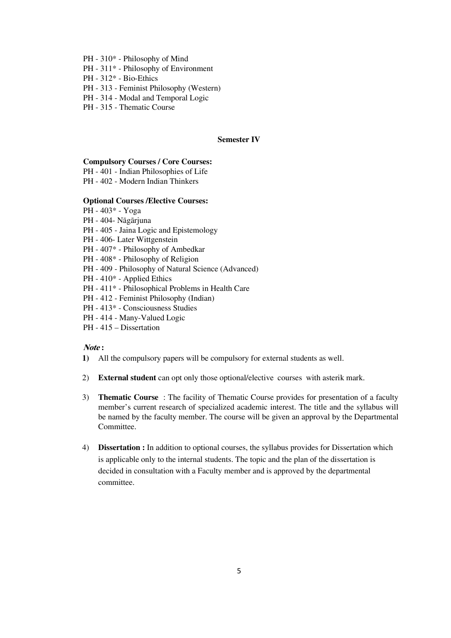- PH 310\* Philosophy of Mind
- PH 311\* Philosophy of Environment
- PH 312\* Bio-Ethics
- PH 313 Feminist Philosophy (Western)
- PH 314 Modal and Temporal Logic
- PH 315 Thematic Course

## **Semester IV**

#### **Compulsory Courses / Core Courses:**

- PH 401 Indian Philosophies of Life
- PH 402 Modern Indian Thinkers

## **Optional Courses /Elective Courses:**

- PH 403\* Yoga
- PH 404- Nāgārjuna
- PH 405 Jaina Logic and Epistemology
- PH 406- Later Wittgenstein
- PH 407\* Philosophy of Ambedkar
- PH 408\* Philosophy of Religion
- PH 409 Philosophy of Natural Science (Advanced)
- PH 410\* Applied Ethics
- PH 411\* Philosophical Problems in Health Care
- PH 412 Feminist Philosophy (Indian)
- PH 413\* Consciousness Studies
- PH 414 Many-Valued Logic
- PH 415 Dissertation

# **Note :**

- **1)** All the compulsory papers will be compulsory for external students as well.
- 2) **External student** can opt only those optional/elective courses with asterik mark.
- 3) **Thematic Course** : The facility of Thematic Course provides for presentation of a faculty member's current research of specialized academic interest. The title and the syllabus will be named by the faculty member. The course will be given an approval by the Departmental Committee.
- 4) **Dissertation :** In addition to optional courses, the syllabus provides for Dissertation which is applicable only to the internal students. The topic and the plan of the dissertation is decided in consultation with a Faculty member and is approved by the departmental committee.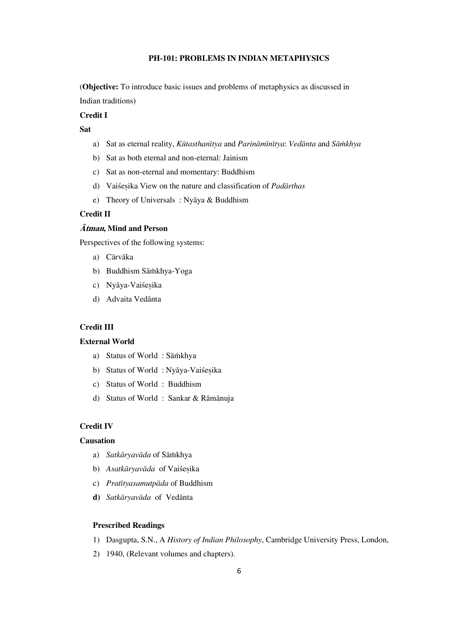# **PH-101: PROBLEMS IN INDIAN METAPHYSICS**

(**Objective:** To introduce basic issues and problems of metaphysics as discussed in Indian traditions)

#### **Credit I**

**Sat** 

- a) Sat as eternal reality, *Kūtasthanītya* and *Parināmīnītya*: *Vedānta* and *Sāmkhya*
- b) Sat as both eternal and non-eternal: Jainism
- c) Sat as non-eternal and momentary: Buddhism
- d) Vaiśesika View on the nature and classification of *Padārthas*
- e) Theory of Universals : Nyāya & Buddhism

# **Credit II**

# **Àtman, Mind and Person**

Perspectives of the following systems:

- a) Cārvāka
- b) Buddhism Sāmkhya-Yoga
- c) Nyāya-Vaiśesika
- d) Advaita Vedānta

# **Credit III**

## **External World**

- a) Status of World : Sāṁkhya
- b) Status of World: Nyāya-Vaiśesika
- c) Status of World : Buddhism
- d) Status of World : Sankar & Rāmānuja

## **Credit IV**

#### **Causation**

- a) Satkāryavāda of Sāmkhya
- b) Asatkāryavāda of Vaiśesika
- c) *Pratītyasamutpāda* of Buddhism
- d) Satkāryavāda of Vedānta

## **Prescribed Readings**

- 1) Dasgupta, S.N., A *History of Indian Philosophy*, Cambridge University Press, London,
- 2) 1940, (Relevant volumes and chapters).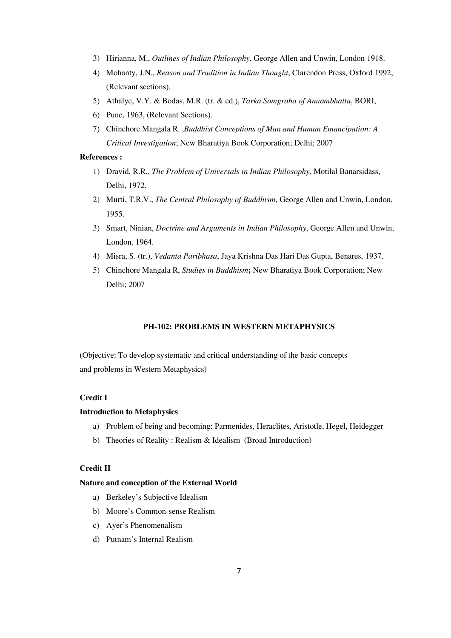- 3) Hirianna, M., *Outlines of Indian Philosophy*, George Allen and Unwin, London 1918.
- 4) Mohanty, J.N., *Reason and Tradition in Indian Thought*, Clarendon Press, Oxford 1992, (Relevant sections).
- 5) Athalye, V.Y. & Bodas, M.R. (tr. & ed.), *Tarka Samgraha of Annambhatta*, BORI,
- 6) Pune, 1963, (Relevant Sections).
- 7) Chinchore Mangala R. ,*Buddhist Conceptions of Man and Human Emancipation: A Critical Investigation*; New Bharatiya Book Corporation; Delhi; 2007

#### **References :**

- 1) Dravid, R.R., *The Problem of Universals in Indian Philosophy*, Motilal Banarsidass, Delhi, 1972.
- 2) Murti, T.R.V., *The Central Philosophy of Buddhism*, George Allen and Unwin, London, 1955.
- 3) Smart, Ninian, *Doctrine and Arguments in Indian Philosophy*, George Allen and Unwin, London, 1964.
- 4) Misra, S. (tr.), *Vedanta Paribhasa*, Jaya Krishna Das Hari Das Gupta, Benares, 1937.
- 5) Chinchore Mangala R, *Studies in Buddhism***;** New Bharatiya Book Corporation; New Delhi; 2007

# **PH-102: PROBLEMS IN WESTERN METAPHYSICS**

(Objective: To develop systematic and critical understanding of the basic concepts and problems in Western Metaphysics)

# **Credit I**

## **Introduction to Metaphysics**

- a) Problem of being and becoming: Parmenides, Heraclites, Aristotle, Hegel, Heidegger
- b) Theories of Reality : Realism & Idealism (Broad Introduction)

# **Credit II**

#### **Nature and conception of the External World**

- a) Berkeley's Subjective Idealism
- b) Moore's Common-sense Realism
- c) Ayer's Phenomenalism
- d) Putnam's Internal Realism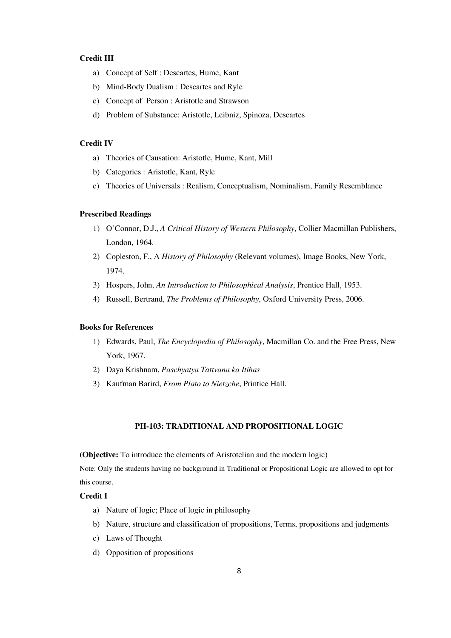# **Credit III**

- a) Concept of Self : Descartes, Hume, Kant
- b) Mind-Body Dualism : Descartes and Ryle
- c) Concept of Person : Aristotle and Strawson
- d) Problem of Substance: Aristotle, Leibniz, Spinoza, Descartes

#### **Credit IV**

- a) Theories of Causation: Aristotle, Hume, Kant, Mill
- b) Categories : Aristotle, Kant, Ryle
- c) Theories of Universals : Realism, Conceptualism, Nominalism, Family Resemblance

#### **Prescribed Readings**

- 1) O'Connor, D.J., *A Critical History of Western Philosophy*, Collier Macmillan Publishers, London, 1964.
- 2) Copleston, F., A *History of Philosophy* (Relevant volumes), Image Books, New York, 1974.
- 3) Hospers, John, *An Introduction to Philosophical Analysis*, Prentice Hall, 1953.
- 4) Russell, Bertrand, *The Problems of Philosophy*, Oxford University Press, 2006.

#### **Books for References**

- 1) Edwards, Paul, *The Encyclopedia of Philosophy*, Macmillan Co. and the Free Press, New York, 1967.
- 2) Daya Krishnam, *Paschyatya Tattvana ka Itihas*
- 3) Kaufman Barird, *From Plato to Nietzche*, Printice Hall.

## **PH-103: TRADITIONAL AND PROPOSITIONAL LOGIC**

**(Objective:** To introduce the elements of Aristotelian and the modern logic)

Note: Only the students having no background in Traditional or Propositional Logic are allowed to opt for this course.

# **Credit I**

- a) Nature of logic; Place of logic in philosophy
- b) Nature, structure and classification of propositions, Terms, propositions and judgments
- c) Laws of Thought
- d) Opposition of propositions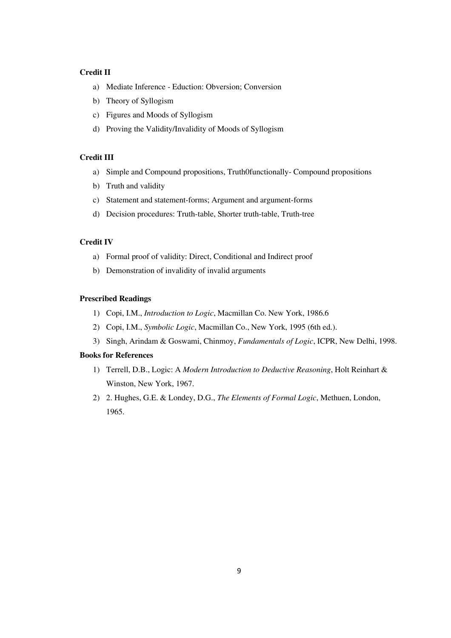# **Credit II**

- a) Mediate Inference Eduction: Obversion; Conversion
- b) Theory of Syllogism
- c) Figures and Moods of Syllogism
- d) Proving the Validity/Invalidity of Moods of Syllogism

# **Credit III**

- a) Simple and Compound propositions, Truth0functionally- Compound propositions
- b) Truth and validity
- c) Statement and statement-forms; Argument and argument-forms
- d) Decision procedures: Truth-table, Shorter truth-table, Truth-tree

# **Credit IV**

- a) Formal proof of validity: Direct, Conditional and Indirect proof
- b) Demonstration of invalidity of invalid arguments

## **Prescribed Readings**

- 1) Copi, I.M., *Introduction to Logic*, Macmillan Co. New York, 1986.6
- 2) Copi, I.M., *Symbolic Logic*, Macmillan Co., New York, 1995 (6th ed.).
- 3) Singh, Arindam & Goswami, Chinmoy, *Fundamentals of Logic*, ICPR, New Delhi, 1998.

## **Books for References**

- 1) Terrell, D.B., Logic: A *Modern Introduction to Deductive Reasoning*, Holt Reinhart & Winston, New York, 1967.
- 2) 2. Hughes, G.E. & Londey, D.G., *The Elements of Formal Logic*, Methuen, London, 1965.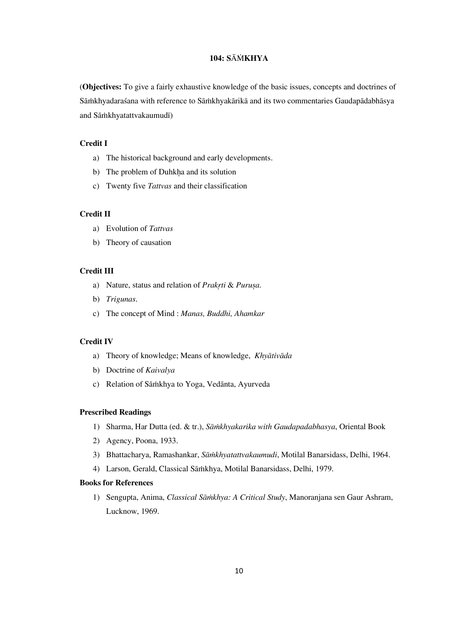# **104: S**À¾**KHYA**

(**Objectives:** To give a fairly exhaustive knowledge of the basic issues, concepts and doctrines of Sāṁkhyadaraśana with reference to Sāṁkhyakārikā and its two commentaries Gaudapādabhāsya and Sāmkhyatattvakaumudī)

# **Credit I**

- a) The historical background and early developments.
- b) The problem of Duhkha and its solution
- c) Twenty five *Tattvas* and their classification

## **Credit II**

- a) Evolution of *Tattvas*
- b) Theory of causation

## **Credit III**

- a) Nature, status and relation of *Prakrti & Purușa*.
- b) *Trigunas*.
- c) The concept of Mind : *Manas, Buddhi, Ahamkar*

# **Credit IV**

- a) Theory of knowledge; Means of knowledge, *Khyātivāda*
- b) Doctrine of *Kaivalya*
- c) Relation of Sāṁkhya to Yoga, Vedānta, Ayurveda

# **Prescribed Readings**

- 1) Sharma, Har Dutta (ed. & tr.), Sā*mkhyakarika with Gaudapadabhasya*, Oriental Book
- 2) Agency, Poona, 1933.
- 3) Bhattacharya, Ramashankar, *Sāmkhyatattvakaumudi*, Motilal Banarsidass, Delhi, 1964.
- 4) Larson, Gerald, Classical Sāṁkhya, Motilal Banarsidass, Delhi, 1979.

#### **Books for References**

1) Sengupta, Anima, *Classical Sāmkhya: A Critical Study*, Manoranjana sen Gaur Ashram, Lucknow, 1969.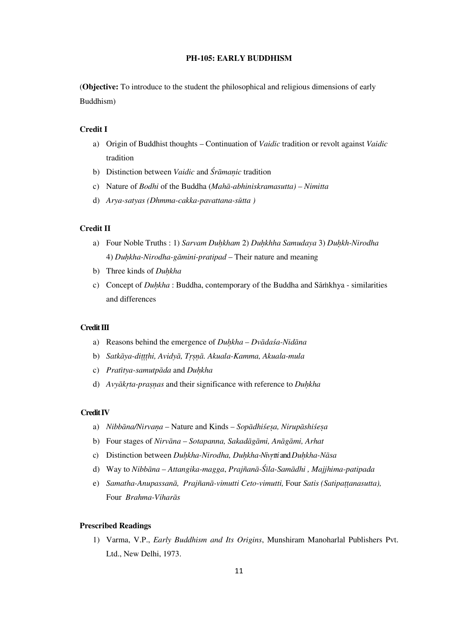# **PH-105: EARLY BUDDHISM**

(**Objective:** To introduce to the student the philosophical and religious dimensions of early Buddhism)

## **Credit I**

- a) Origin of Buddhist thoughts Continuation of *Vaidic* tradition or revolt against *Vaidic* tradition
- b) Distinction between *Vaidic* and *Śrāmanic* tradition
- c) Nature of *Bodhi* of the Buddha (*Mahā-abhiniskramasutta*) *Nimitta*
- d) *Arya-satyas (Dhmma-cakka-pavattana-sūtta)*

# **Credit II**

- a) Four Noble Truths : 1) *Sarvam Duhkham 2) Duhkhha Samudaya 3) Duhkh-Nirodha* 4) *Duhkha-Nirodha-gāmini-pratipad* – Their nature and meaning
- b) Three kinds of *Duhkha*
- c) Concept of *Duhkha* : Buddha, contemporary of the Buddha and Sāmkhya similarities and differences

#### **Credit III**

- a) Reasons behind the emergence of *Duhkha Dvādasa-Nidāna*
- b) *Satkāya-dittthi, Avidyā, Trsnā. Akuala-Kamma, Akuala-mula*
- c) *Pratītya-samutpāda* and *Duhkha*
- d) *Avyākrta-prasnas* and their significance with reference to *Duhkha*

#### **Credit IV**

- a) *Nibbāna/Nirvana* Nature and Kinds *Sopādhiśesa*, Nirupāshiśesa
- b) Four stages of *Nirvāna Sotapanna, Sakadāgāmi, Anāgāmi, Arhat*
- c) Distinction between *Duhkha-Nirodha, Duhkha-Nivrtti* and *Duhkha-Nāsa*
- d) Way to *Nibbāna Attangika-magga, Prajñanā-Śīla-Samādhi, Majjhima-patipada*
- e) *Samatha-Anupassanā, Prajñanā-vimutti Ceto-vimutti,* Four Satis (Satipattanasutta), Four *Brahma-Viharās*

# **Prescribed Readings**

1) Varma, V.P., *Early Buddhism and Its Origins*, Munshiram Manoharlal Publishers Pvt. Ltd., New Delhi, 1973.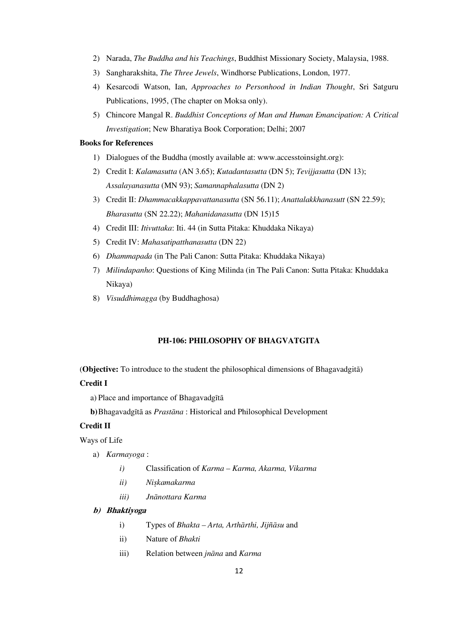- 2) Narada, *The Buddha and his Teachings*, Buddhist Missionary Society, Malaysia, 1988.
- 3) Sangharakshita, *The Three Jewels*, Windhorse Publications, London, 1977.
- 4) Kesarcodi Watson, Ian, *Approaches to Personhood in Indian Thought*, Sri Satguru Publications, 1995, (The chapter on Moksa only).
- 5) Chincore Mangal R. *Buddhist Conceptions of Man and Human Emancipation: A Critical Investigation*; New Bharatiya Book Corporation; Delhi; 2007

#### **Books for References**

- 1) Dialogues of the Buddha (mostly available at: www.accesstoinsight.org):
- 2) Credit I: *Kalamasutta* (AN 3.65); *Kutadantasutta* (DN 5); *Tevijjasutta* (DN 13); *Assalayanasutta* (MN 93); *Samannaphalasutta* (DN 2)
- 3) Credit II: *Dhammacakkappavattanasutta* (SN 56.11); *Anattalakkhanasutt* (SN 22.59); *Bharasutta* (SN 22.22); *Mahanidanasutta* (DN 15)15
- 4) Credit III: *Itivuttaka*: Iti. 44 (in Sutta Pitaka: Khuddaka Nikaya)
- 5) Credit IV: *Mahasatipatthanasutta* (DN 22)
- 6) *Dhammapada* (in The Pali Canon: Sutta Pitaka: Khuddaka Nikaya)
- 7) *Milindapanho*: Questions of King Milinda (in The Pali Canon: Sutta Pitaka: Khuddaka Nikaya)
- 8) *Visuddhimagga* (by Buddhaghosa)

### **PH-106: PHILOSOPHY OF BHAGVATGITA**

(**Objective:** To introduce to the student the philosophical dimensions of Bhagavadgita)

## **Credit I**

a) Place and importance of Bhagavadgītā

**b**) Bhagavadgītā as *Prastāna* : Historical and Philosophical Development

# **Credit II**

Ways of Life

- a) *Karmayoga* :
	- *i)* Classification of *Karma Karma, Akarma, Vikarma*
	- *ii*) *Niskamakarma*
	- *iii) JnÁnottara Karma*

#### **b) Bhaktiyoga**

- i) Types of *Bhakta Arta, Arthārthi, Jijñāsu* and
- ii) Nature of *Bhakti*
- iii) Relation between *jnāna* and *Karma*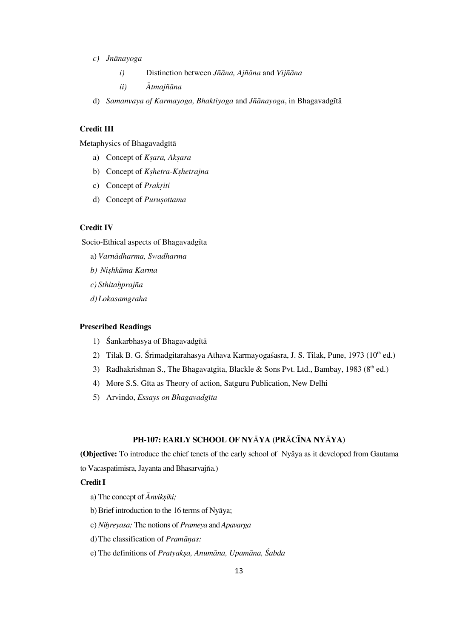- *c) JnÁnayoga* 
	- *i*) Distinction between *Jñāna*, Ajñ*āna* and *Vijñāna*

*ii*) *Ātmajñāna* 

d) *Samanvaya of Karmayoga, Bhaktiyoga* and *Jñānayoga*, in Bhagavadgītā

# **Credit III**

Metaphysics of Bhagavadgītā

- a) Concept of *Ksara*, Aksara
- b) Concept of *K*shetra-Kshetrajna
- c) Concept of *Prakriti*
- d) Concept of *Purusottama*

## **Credit IV**

Socio-Ethical aspects of Bhagavadgīta

- a) Varnādharma, Swadharma
- $b)$  *Nishkāma Karma*
- *c) Sthita½prajña*
- *d)Lokasamgraha*

# **Prescribed Readings**

- 1) Śankarbhasya of Bhagavadgītā
- 2) Tilak B. G. Śrimadgitarahasya Athava Karmayogaśasra, J. S. Tilak, Pune, 1973 (10<sup>th</sup> ed.)
- 3) Radhakrishnan S., The Bhagavatgita, Blackle & Sons Pvt. Ltd., Bambay, 1983 ( $8<sup>th</sup>$  ed.)
- 4) More S.S. GÍta as Theory of action, Satguru Publication, New Delhi
- 5) Arvindo, *Essays on BhagavadgÍta*

## **PH-107: EARLY SCHOOL OF NY**À**YA (PR**À**CÌNA NY**À**YA)**

**(Objective:** To introduce the chief tenets of the early school of Nyaya as it developed from Gautama to Vacaspatimisra, Jayanta and Bhasarvajña.)

#### **Credit I**

- a) The concept of  $\bar{A}$ *nviksiki*;
- b) Brief introduction to the 16 terms of Nyāya;
- c) *Ni½reyasa;* The notions of *Prameya* and *Apavarga*
- d) The classification of *Pramānas*:
- e) The definitions of *Pratyaksa, Anumāna, Upamāna, Śabda*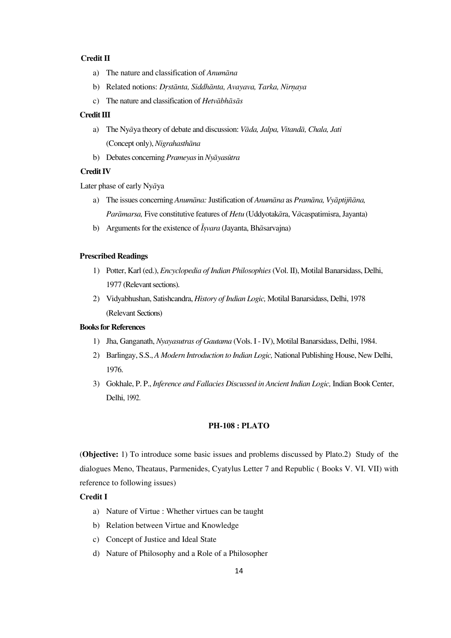# **Credit II**

- a) The nature and classification of *Anumāna*
- b) Related notions: *Drstānta, Siddhānta, Avayava, Tarka, Nirnaya*
- c) The nature and classification of *Hetvābhāsās*

## **Credit III**

- a) The Nya<sup>*y*a theory of debate and discussion: *Vada, Jalpa, Vitanda, Chala, Jati*</sup> (Concept only), *Nigrahasthāna*
- b) Debates concerning *Prameyas* in *Nyāyasūtra*

## **Credit IV**

Later phase of early Ny*Á*ya

- a) The issues concerning *Anumāna*: Justification of *Anumāna* as *Pramāna*, Vyāptijñāna, *Parāmarsa*, Five constitutive features of *Hetu* (Uddyotak*āra*, V*ācaspatimisra*, Jayanta)
- b) Arguments for the existence of *Īsvara* (Jayanta, Bh*āsarvajna*)

#### **Prescribed Readings**

- 1) Potter, Karl (ed.), *Encyclopedia of Indian Philosophies* (Vol. II), Motilal Banarsidass, Delhi, 1977 (Relevant sections).
- 2) Vidyabhushan, Satishcandra, *History of Indian Logic,* Motilal Banarsidass, Delhi, 1978 (Relevant Sections)

## **Books for References**

- 1) Jha, Ganganath, *Nyayasutras of Gautama* (Vols. I IV), Motilal Banarsidass, Delhi, 1984.
- 2) Barlingay, S.S., *A Modern Introduction to Indian Logic,* National Publishing House, New Delhi, 1976.
- 3) Gokhale, P. P., *Inference and Fallacies Discussed in Ancient Indian Logic,* Indian Book Center, Delhi, 1992.

#### **PH-108 : PLATO**

(**Objective:** 1) To introduce some basic issues and problems discussed by Plato.2) Study of the dialogues Meno, Theataus, Parmenides, Cyatylus Letter 7 and Republic ( Books V. VI. VII) with reference to following issues)

# **Credit I**

- a) Nature of Virtue : Whether virtues can be taught
- b) Relation between Virtue and Knowledge
- c) Concept of Justice and Ideal State
- d) Nature of Philosophy and a Role of a Philosopher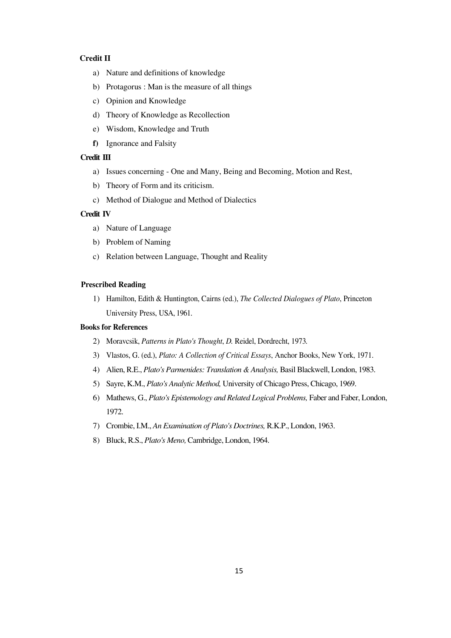# **Credit II**

- a) Nature and definitions of knowledge
- b) Protagorus : Man is the measure of all things
- c) Opinion and Knowledge
- d) Theory of Knowledge as Recollection
- e) Wisdom, Knowledge and Truth
- **f)** Ignorance and Falsity

# **Credit III**

- a) Issues concerning One and Many, Being and Becoming, Motion and Rest,
- b) Theory of Form and its criticism.
- c) Method of Dialogue and Method of Dialectics

## **Credit IV**

- a) Nature of Language
- b) Problem of Naming
- c) Relation between Language, Thought and Reality

#### **Prescribed Reading**

1) Hamilton, Edith & Huntington, Cairns (ed.), *The Collected Dialogues of Plato*, Princeton University Press, USA, 1961.

# **Books for References**

- 2) Moravcsik, *Patterns in Plato's Thought*, *D.* Reidel, Dordrecht, 1973*.*
- 3) Vlastos, G. (ed.), *Plato: A Collection of Critical Essays*, Anchor Books, New York, 1971.
- 4) Alien, R.E., *Plato's Parmenides: Translation & Analysis,* Basil Blackwell, London, 1983.
- 5) Sayre, K.M., *Plato's Analytic Method,* University of Chicago Press, Chicago, 1969.
- 6) Mathews, G., *Plato's Epistemology and Related Logical Problems,* Faber and Faber, London, 1972.
- 7) Crombie, I.M., *An Examination of Plato's Doctrines,* R.K.P., London, 1963.
- 8) Bluck, R.S., *Plato's Meno,* Cambridge, London, 1964.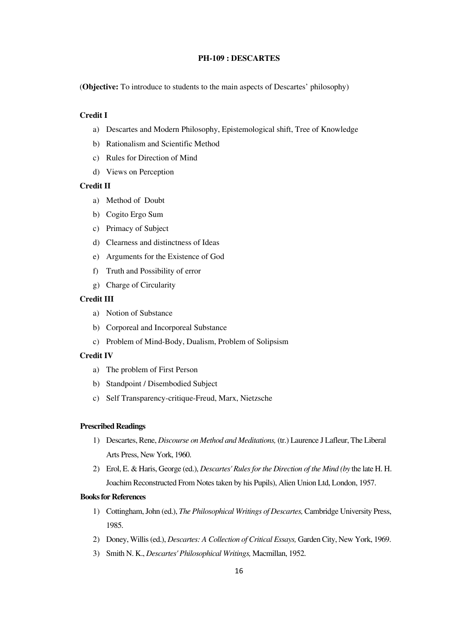# **PH-109 : DESCARTES**

(**Objective:** To introduce to students to the main aspects of Descartes' philosophy)

## **Credit I**

- a) Descartes and Modern Philosophy, Epistemological shift, Tree of Knowledge
- b) Rationalism and Scientific Method
- c) Rules for Direction of Mind
- d) Views on Perception

# **Credit II**

- a) Method of Doubt
- b) Cogito Ergo Sum
- c) Primacy of Subject
- d) Clearness and distinctness of Ideas
- e) Arguments for the Existence of God
- f) Truth and Possibility of error
- g) Charge of Circularity

### **Credit III**

- a) Notion of Substance
- b) Corporeal and Incorporeal Substance
- c) Problem of Mind-Body, Dualism, Problem of Solipsism

## **Credit IV**

- a) The problem of First Person
- b) Standpoint / Disembodied Subject
- c) Self Transparency-critique-Freud, Marx, Nietzsche

## **Prescribed Readings**

- 1) Descartes, Rene, *Discourse on Method and Meditations,* (tr.) Laurence J Lafleur, The Liberal Arts Press, New York, 1960.
- 2) Erol, E. & Haris, George (ed.), *Descartes' Rules for the Direction of the Mind (by* the late H. H. Joachim Reconstructed From Notes taken by his Pupils), Alien Union Ltd, London, 1957.

## **Books for References**

- 1) Cottingham, John (ed.), *The Philosophical Writings of Descartes,* Cambridge University Press, 1985.
- 2) Doney, Willis (ed.), *Descartes: A Collection of Critical Essays,* Garden City, New York, 1969.
- 3) Smith N. K., *Descartes' Philosophical Writings,* Macmillan, 1952.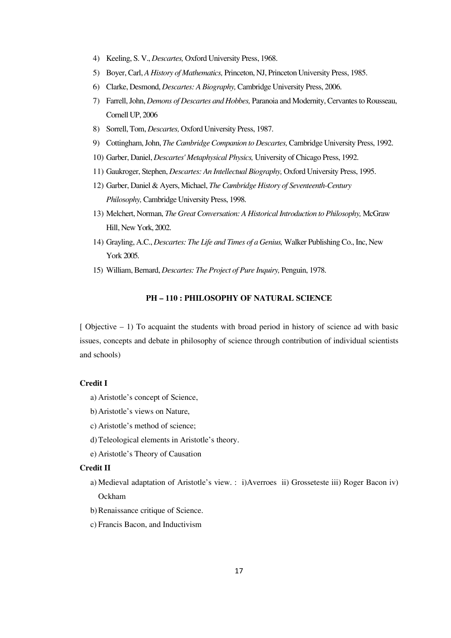- 4) Keeling, S. V., *Descartes,* Oxford University Press, 1968.
- 5) Boyer, Carl, *A History of Mathematics,* Princeton, NJ, Princeton University Press, 1985.
- 6) Clarke, Desmond, *Descartes: A Biography,* Cambridge University Press, 2006.
- 7) Farrell, John, *Demons of Descartes and Hobbes,* Paranoia and Modernity, Cervantes to Rousseau, Cornell UP, 2006
- 8) Sorrell, Tom, *Descartes,* Oxford University Press, 1987.
- 9) Cottingham, John, *The Cambridge Companion to Descartes,* Cambridge University Press, 1992.
- 10) Garber, Daniel, *Descartes' Metaphysical Physics,* University of Chicago Press, 1992.
- 11) Gaukroger, Stephen, *Descartes: An Intellectual Biography,* Oxford University Press, 1995.
- 12) Garber, Daniel & Ayers, Michael, *The Cambridge History of Seventeenth-Century Philosophy,* Cambridge University Press, 1998.
- 13) Melchert, Norman, *The Great Conversation: A Historical Introduction to Philosophy,* McGraw Hill, New York, 2002.
- 14) Grayling, A.C., *Descartes: The Life and Times of a Genius,* Walker Publishing Co., Inc, New York 2005.
- 15) William, Bernard, *Descartes: The Project of Pure Inquiry,* Penguin, 1978.

# **PH — 110 : PHILOSOPHY OF NATURAL SCIENCE**

 $\lceil$  Objective  $-1$ ) To acquaint the students with broad period in history of science ad with basic issues, concepts and debate in philosophy of science through contribution of individual scientists and schools)

#### **Credit I**

- a) Aristotle's concept of Science,
- b)Aristotle's views on Nature,
- c) Aristotle's method of science;
- d)Teleological elements in Aristotle's theory.
- e) Aristotle's Theory of Causation

#### **Credit II**

- a) Medieval adaptation of Aristotle's view. : i)Averroes ii) Grosseteste iii) Roger Bacon iv) Ockham
- b) Renaissance critique of Science.
- c) Francis Bacon, and Inductivism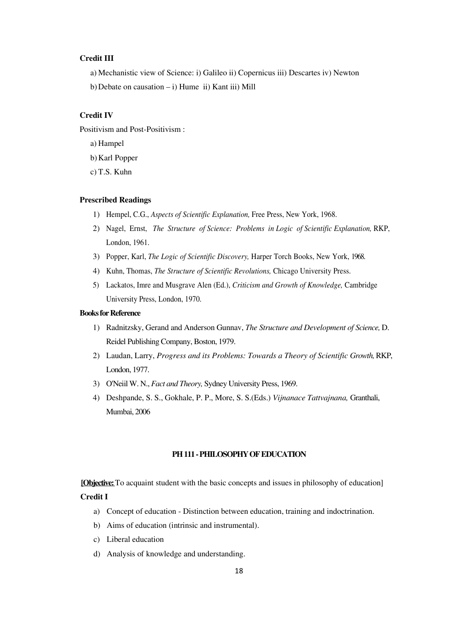# **Credit III**

- a) Mechanistic view of Science: i) Galileo ii) Copernicus iii) Descartes iv) Newton
- b) Debate on causation  $i$ ) Hume ii) Kant iii) Mill

# **Credit IV**

Positivism and Post-Positivism :

- a) Hampel
- b)Karl Popper
- c) T.S. Kuhn

## **Prescribed Readings**

- 1) Hempel, C.G., *Aspects of Scientific Explanation,* Free Press, New York, 1968.
- 2) Nagel, Ernst, *The Structure of Science: Problems in Logic of Scientific Explanation*, RKP, London, 1961.
- 3) Popper, Karl, *The Logic of Scientific Discovery,* Harper Torch Books, New York, 1968.
- 4) Kuhn, Thomas, *The Structure of Scientific Revolutions,* Chicago University Press.
- 5) Lackatos, Imre and Musgrave Alen (Ed.), *Criticism and Growth of Knowledge,* Cambridge University Press, London, 1970.

## **Books for Reference**

- 1) Radnitzsky, Gerand and Anderson Gunnav, *The Structure and Development of Science,* D. Reidel Publishing Company, Boston, 1979.
- 2) Laudan, Larry, *Progress and its Problems: Towards a Theory of Scientific Growth*, RKP, London, 1977.
- 3) O'Neiil W. N., *Fact and Theory,* Sydney University Press, 1969.
- 4) Deshpande, S. S., Gokhale, P. P., More, S. S.(Eds.) *Vijnanace Tattvajnana,* Granthali, Mumbai, 2006

### **PH 111 - PHILOSOPHY OF EDUCATION**

**[Objective:** To acquaint student with the basic concepts and issues in philosophy of education]

#### **Credit I**

- a) Concept of education Distinction between education, training and indoctrination.
- b) Aims of education (intrinsic and instrumental).
- c) Liberal education
- d) Analysis of knowledge and understanding.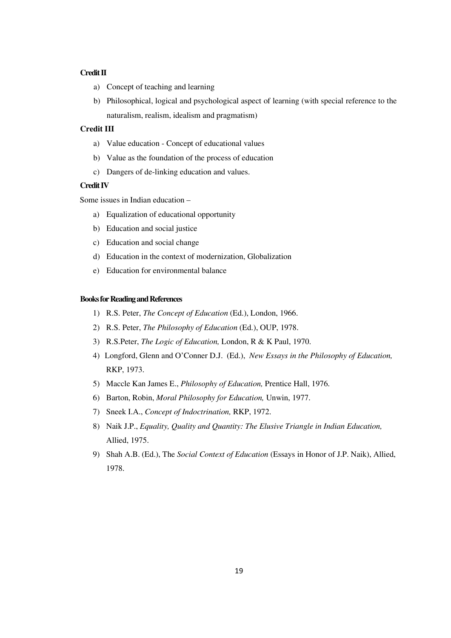## **Credit II**

- a) Concept of teaching and learning
- b) Philosophical, logical and psychological aspect of learning (with special reference to the naturalism, realism, idealism and pragmatism)

# **Credit III**

- a) Value education Concept of educational values
- b) Value as the foundation of the process of education
- c) Dangers of de-linking education and values.

## **Credit IV**

Some issues in Indian education —

- a) Equalization of educational opportunity
- b) Education and social justice
- c) Education and social change
- d) Education in the context of modernization, Globalization
- e) Education for environmental balance

## **Books for Reading and References**

- 1) R.S. Peter, *The Concept of Education* (Ed.), London, 1966.
- 2) R.S. Peter, *The Philosophy of Education* (Ed.), OUP, 1978.
- 3) R.S.Peter, *The Logic of Education,* London, R & K Paul, 1970.
- 4) Longford, Glenn and O'Conner D.J. (Ed.), *New Essays in the Philosophy of Education,*  RKP, 1973.
- 5) Maccle Kan James E., *Philosophy of Education,* Prentice Hall, 1976.
- 6) Barton, Robin, *Moral Philosophy for Education,* Unwin, 1977.
- 7) Sneek I.A., *Concept of Indoctrination,* RKP, 1972.
- 8) Naik J.P., *Equality, Quality and Quantity: The Elusive Triangle in Indian Education,*  Allied, 1975.
- 9) Shah A.B. (Ed.), The *Social Context of Education* (Essays in Honor of J.P. Naik), Allied, 1978.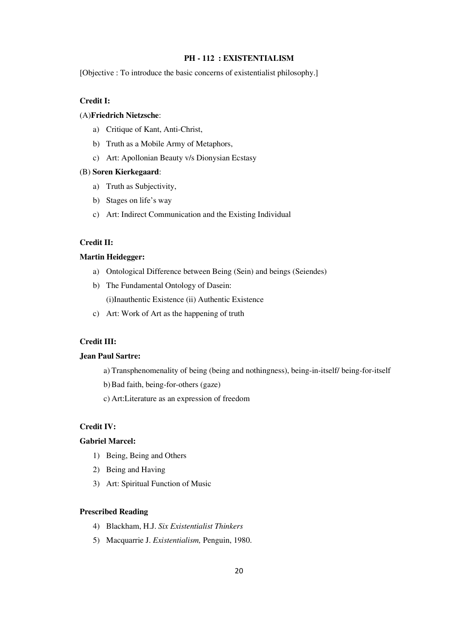# **PH - 112 : EXISTENTIALISM**

[Objective : To introduce the basic concerns of existentialist philosophy.]

# **Credit I:**

# (A)**Friedrich Nietzsche**:

- a) Critique of Kant, Anti-Christ,
- b) Truth as a Mobile Army of Metaphors,
- c) Art: Apollonian Beauty v/s Dionysian Ecstasy

## (B) **Soren Kierkegaard**:

- a) Truth as Subjectivity,
- b) Stages on life's way
- c) Art: Indirect Communication and the Existing Individual

## **Credit II:**

### **Martin Heidegger:**

- a) Ontological Difference between Being (Sein) and beings (Seiendes)
- b) The Fundamental Ontology of Dasein:

(i)Inauthentic Existence (ii) Authentic Existence

c) Art: Work of Art as the happening of truth

# **Credit III:**

# **Jean Paul Sartre:**

- a) Transphenomenality of being (being and nothingness), being-in-itself/ being-for-itself
- b)Bad faith, being-for-others (gaze)
- c) Art:Literature as an expression of freedom

# **Credit IV:**

# **Gabriel Marcel:**

- 1) Being, Being and Others
- 2) Being and Having
- 3) Art: Spiritual Function of Music

## **Prescribed Reading**

- 4) Blackham, H.J. *Six Existentialist Thinkers*
- 5) Macquarrie J. *Existentialism,* Penguin, 1980.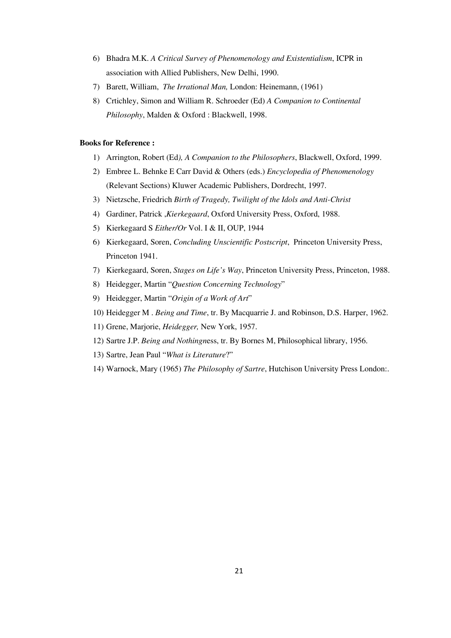- 6) Bhadra M.K. *A Critical Survey of Phenomenology and Existentialism*, ICPR in association with Allied Publishers, New Delhi, 1990.
- 7) Barett, William, *The Irrational Man,* London: Heinemann, (1961)
- 8) Crtichley, Simon and William R. Schroeder (Ed) *A Companion to Continental Philosophy*, Malden & Oxford : Blackwell, 1998.

#### **Books for Reference :**

- 1) Arrington, Robert (Ed*), A Companion to the Philosophers*, Blackwell, Oxford, 1999.
- 2) Embree L. Behnke E Carr David & Others (eds.) *Encyclopedia of Phenomenology* (Relevant Sections) Kluwer Academic Publishers, Dordrecht, 1997.
- 3) Nietzsche, Friedrich *Birth of Tragedy, Twilight of the Idols and Anti-Christ*
- 4) Gardiner, Patrick ,*Kierkegaard*, Oxford University Press, Oxford, 1988.
- 5) Kierkegaard S *Either/Or* Vol. I & II, OUP, 1944
- 6) Kierkegaard, Soren, *Concluding Unscientific Postscript*, Princeton University Press, Princeton 1941.
- 7) Kierkegaard, Soren, *Stages on Life's Way*, Princeton University Press, Princeton, 1988.
- 8) Heidegger, Martin "*Question Concerning Technology*"
- 9) Heidegger, Martin "*Origin of a Work of Art*"
- 10) Heidegger M . *Being and Time*, tr. By Macquarrie J. and Robinson, D.S. Harper, 1962.
- 11) Grene, Marjorie, *Heidegger,* New York, 1957.
- 12) Sartre J.P. *Being and Nothingn*ess, tr. By Bornes M, Philosophical library, 1956.
- 13) Sartre, Jean Paul "*What is Literature*?"
- 14) Warnock, Mary (1965) *The Philosophy of Sartre*, Hutchison University Press London:.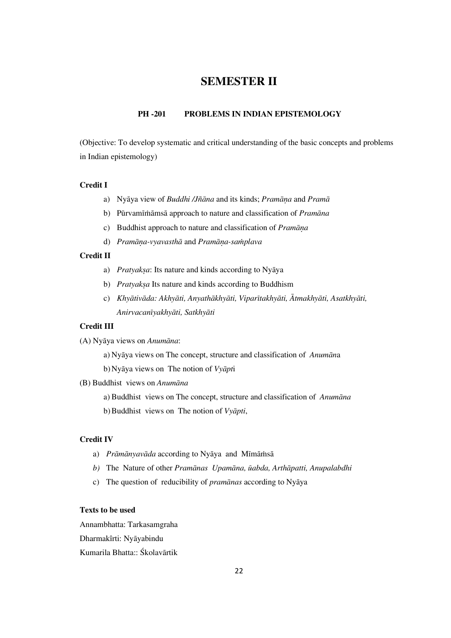# **SEMESTER II**

# **PH -201 PROBLEMS IN INDIAN EPISTEMOLOGY**

(Objective: To develop systematic and critical understanding of the basic concepts and problems in Indian epistemology)

#### **Credit I**

- a) Nyāya view of *Buddhi /Jñāna* and its kinds; *Pramāna* and *Pramā*
- b) Pūrvamīmāmsā approach to nature and classification of *Pramāna*
- c) Buddhist approach to nature and classification of *Pramāna*
- d) *Pramāna-vyavasthā* and *Pramāna-samplava*

## **Credit II**

- a) *Pratyaksa*: Its nature and kinds according to Nyāya
- b) *Pratyaksa* Its nature and kinds according to Buddhism
- c) *Khyātivāda: Akhyāti, Anyathākhyāti, Viparītakhyāti, Ātmakhyāti, Asatkhyāti, AnirvacanÍyakhyÁti, SatkhyÁti*

## **Credit III**

(A) NyÁya views on *AnumÁna*:

- a) Nyāya views on The concept, structure and classification of *Anumāna*
- b) Nyāya views on The notion of *Vyāpt*i
- (B) Buddhist views on *Anumāna* 
	- a) Buddhist views on The concept, structure and classification of *Anumāna*

b) Buddhist views on The notion of *Vyāpti*,

#### **Credit IV**

- a) *Prāmānyavāda* according to Nyāya and Mīmāmsā
- *b*) The Nature of other *Pramānas Upamāna, ūabda, Arthāpatti, Anupalabdhi*
- c) The question of reducibility of *pramānas* according to Nyāya

## **Texts to be used**

Annambhatta: Tarkasamgraha Dharmakîrti: Nyāyabindu Kumarila Bhatta:: Śkolavārtik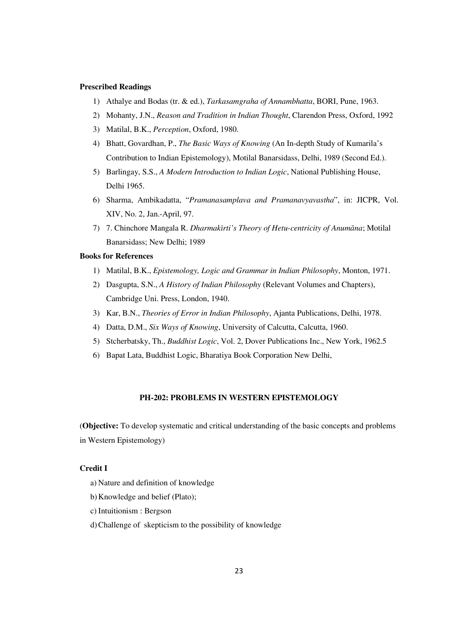#### **Prescribed Readings**

- 1) Athalye and Bodas (tr. & ed.), *Tarkasamgraha of Annambhatta*, BORI, Pune, 1963.
- 2) Mohanty, J.N., *Reason and Tradition in Indian Thought*, Clarendon Press, Oxford, 1992
- 3) Matilal, B.K., *Perception*, Oxford, 1980.
- 4) Bhatt, Govardhan, P., *The Basic Ways of Knowing* (An In-depth Study of Kumarila's Contribution to Indian Epistemology), Motilal Banarsidass, Delhi, 1989 (Second Ed.).
- 5) Barlingay, S.S., *A Modern Introduction to Indian Logic*, National Publishing House, Delhi 1965.
- 6) Sharma, Ambikadatta, "*Pramanasamplava and Pramanavyavastha*", in: JICPR, Vol. XIV, No. 2, Jan.-April, 97.
- 7) 7. Chinchore Mangala R. *Dharmakīrti's Theory of Hetu-centricity of Anumāna*; Motilal Banarsidass; New Delhi; 1989

#### **Books for References**

- 1) Matilal, B.K., *Epistemology, Logic and Grammar in Indian Philosophy*, Monton, 1971.
- 2) Dasgupta, S.N., *A History of Indian Philosophy* (Relevant Volumes and Chapters), Cambridge Uni. Press, London, 1940.
- 3) Kar, B.N., *Theories of Error in Indian Philosophy*, Ajanta Publications, Delhi, 1978.
- 4) Datta, D.M., *Six Ways of Knowing*, University of Calcutta, Calcutta, 1960.
- 5) Stcherbatsky, Th., *Buddhist Logic*, Vol. 2, Dover Publications Inc., New York, 1962.5
- 6) Bapat Lata, Buddhist Logic, Bharatiya Book Corporation New Delhi,

#### **PH-202: PROBLEMS IN WESTERN EPISTEMOLOGY**

(**Objective:** To develop systematic and critical understanding of the basic concepts and problems in Western Epistemology)

# **Credit I**

- a) Nature and definition of knowledge
- b)Knowledge and belief (Plato);
- c) Intuitionism : Bergson
- d)Challenge of skepticism to the possibility of knowledge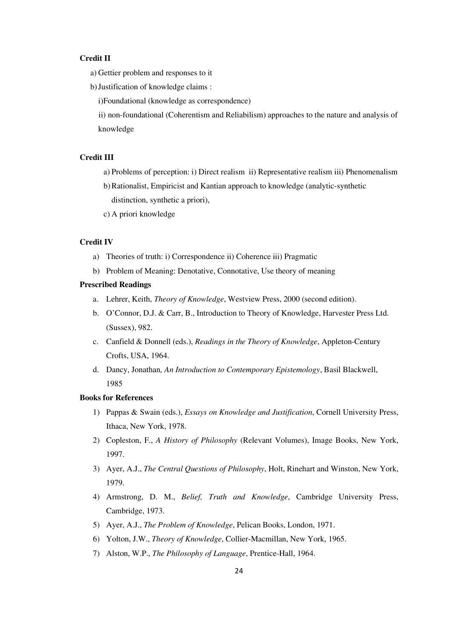# **Credit II**

- a) Gettier problem and responses to it
- b)Justification of knowledge claims :

i)Foundational (knowledge as correspondence)

ii) non-foundational (Coherentism and Reliabilism) approaches to the nature and analysis of knowledge

# **Credit III**

- a) Problems of perception: i) Direct realism ii) Representative realism iii) Phenomenalism
- b)Rationalist, Empiricist and Kantian approach to knowledge (analytic-synthetic distinction, synthetic a priori),
- c) A priori knowledge

## **Credit IV**

- a) Theories of truth: i) Correspondence ii) Coherence iii) Pragmatic
- b) Problem of Meaning: Denotative, Connotative, Use theory of meaning

#### **Prescribed Readings**

- a. Lehrer, Keith, *Theory of Knowledge*, Westview Press, 2000 (second edition).
- b. O'Connor, D.J. & Carr, B., Introduction to Theory of Knowledge, Harvester Press Ltd. (Sussex), 982.
- c. Canfield & Donnell (eds.), *Readings in the Theory of Knowledge*, Appleton-Century Crofts, USA, 1964.
- d. Dancy, Jonathan*, An Introduction to Contemporary Epistemology*, Basil Blackwell, 1985

#### **Books for References**

- 1) Pappas & Swain (eds.), *Essays on Knowledge and Justification*, Cornell University Press, Ithaca, New York, 1978.
- 2) Copleston, F., *A History of Philosophy* (Relevant Volumes), Image Books, New York, 1997.
- 3) Ayer, A.J., *The Central Questions of Philosophy*, Holt, Rinehart and Winston, New York, 1979.
- 4) Armstrong, D. M., *Belief, Truth and Knowledge*, Cambridge University Press, Cambridge, 1973.
- 5) Ayer, A.J., *The Problem of Knowledge*, Pelican Books, London, 1971.
- 6) Yolton, J.W., *Theory of Knowledge*, Collier-Macmillan, New York, 1965.
- 7) Alston, W.P., *The Philosophy of Language*, Prentice-Hall, 1964.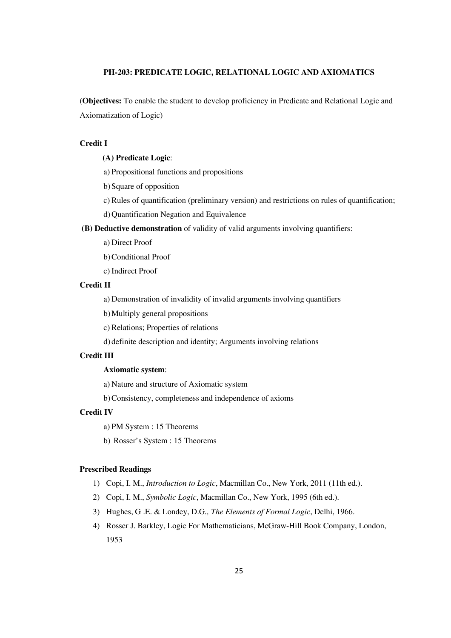# **PH-203: PREDICATE LOGIC, RELATIONAL LOGIC AND AXIOMATICS**

(**Objectives:** To enable the student to develop proficiency in Predicate and Relational Logic and Axiomatization of Logic)

## **Credit I**

## **(A) Predicate Logic**:

a) Propositional functions and propositions

b)Square of opposition

c) Rules of quantification (preliminary version) and restrictions on rules of quantification;

d)Quantification Negation and Equivalence

 **(B) Deductive demonstration** of validity of valid arguments involving quantifiers:

- a) Direct Proof
- b)Conditional Proof
- c) Indirect Proof

#### **Credit II**

a) Demonstration of invalidity of invalid arguments involving quantifiers

b)Multiply general propositions

c) Relations; Properties of relations

d) definite description and identity; Arguments involving relations

## **Credit III**

## **Axiomatic system**:

a) Nature and structure of Axiomatic system

b)Consistency, completeness and independence of axioms

# **Credit IV**

a) PM System : 15 Theorems

b) Rosser's System : 15 Theorems

## **Prescribed Readings**

- 1) Copi, I. M., *Introduction to Logic*, Macmillan Co., New York, 2011 (11th ed.).
- 2) Copi, I. M., *Symbolic Logic*, Macmillan Co., New York, 1995 (6th ed.).
- 3) Hughes, G .E. & Londey, D.G*., The Elements of Formal Logic*, Delhi, 1966.
- 4) Rosser J. Barkley, Logic For Mathematicians, McGraw-Hill Book Company, London, 1953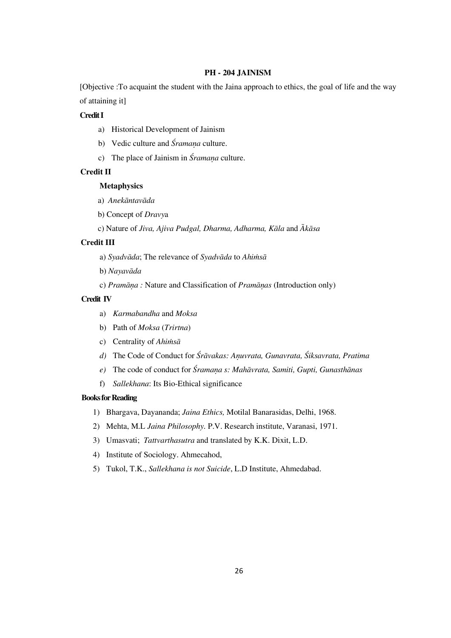## **PH - 204 JAINISM**

[Objective :To acquaint the student with the Jaina approach to ethics, the goal of life and the way of attaining it]

## **Credit I**

- a) Historical Development of Jainism
- b) Vedic culture and *Śramana* culture.
- c) The place of Jainism in *Śramana* culture.

## **Credit II**

#### **Metaphysics**

- a) Anekāntavāda
- b) Concept of *Dravy*a

c) Nature of *Jiva, Ajiva Pudgal, Dharma, Adharma, Kāla* and  $\bar{A}k\bar{a}sa$ 

#### **Credit III**

- a) *Syadvāda*; The relevance of *Syadvāda* to *Ahimsā*
- b) Nayavāda
- c) *Pramāna* : Nature and Classification of *Pramānas* (Introduction only)

#### **Credit IV**

- a) *Karmabandha* and *Moksa*
- b) Path of *Moksa* (*Trirtna*)
- c) Centrality of *Ahimsa*
- *d*) The Code of Conduct for  $\hat{S}r\overline{a}vakas$ : Anuvrata, Gunavrata,  $\hat{S}iksavrata$ , Pratima
- *e*) The code of conduct for *Śramana s: Mahāvrata, Samiti, Gupti, Gunasthānas*
- f) *Sallekhana*: Its Bio-Ethical significance

#### **Books for Reading**

- 1) Bhargava, Dayananda; *Jaina Ethics,* Motilal Banarasidas, Delhi, 1968.
- 2) Mehta, M.L *Jaina Philosophy.* P.V. Research institute, Varanasi, 1971.
- 3) Umasvati; *Tattvarthasutra* and translated by K.K. Dixit, L.D.
- 4) Institute of Sociology. Ahmecahod,
- 5) Tukol, T.K., *Sallekhana is not Suicide*, L.D Institute, Ahmedabad.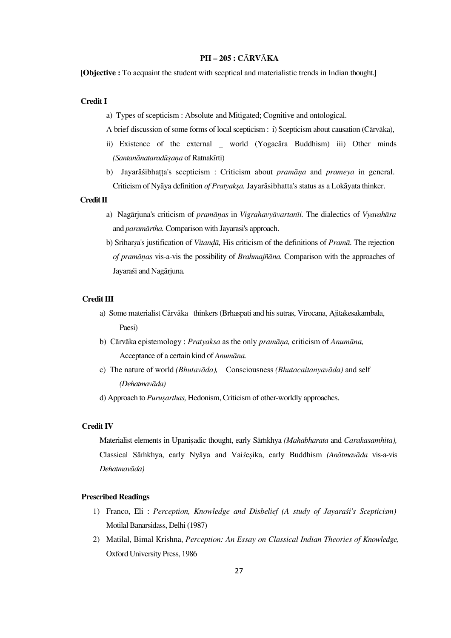## **PH — 205 : C**À**RV**À**KA**

**[Objective :** To acquaint the student with sceptical and materialistic trends in Indian thought.]

#### **Credit I**

- a) Types of scepticism : Absolute and Mitigated; Cognitive and ontological.
- A brief discussion of some forms of local scepticism : i) Scepticism about causation (Cārvāka),
- ii) Existence of the external \_ world (Yogacara Buddhism) iii) Other minds *(Santanānataradūsana* of Ratnakīrti)
- b) Jayarāśibhatta's scepticism : Criticism about *pramāna* and *prameya* in general. Criticism of Nyāya definition of Pratyakṣa. Jayarāsibhatta's status as a Lokāyata thinker.

#### **Credit II**

- a) Nagārjuna's criticism of *pramānas* in *Vigrahavyāvartanīi*. The dialectics of *Vyavahāra* and *paramārtha*. Comparison with Jayarasi's approach.
- b) Sriharsa's justification of *Vitandā*, His criticism of the definitions of *Pramā*. The rejection *of pramānas* vis-a-vis the possibility of *Brahmajñāna*. Comparison with the approaches of Javaraśi and Nagāriuna.

### **Credit III**

- a) Some materialist Cārvāka thinkers (Brhaspati and his sutras, Virocana, Ajitakesakambala, Paesi)
- b) Cārvāka epistemology : *Pratyaksa* as the only *pramāna*, criticism of *Anumāna*, Acceptance of a certain kind of *Anumāna*.
- c) The nature of world *(Bhutavāda)*, Consciousness *(Bhutacaitanyavāda)* and self *(DehatmavÁda)*
- d) Approach to *Purusarthas*, Hedonism, Criticism of other-worldly approaches.

#### **Credit IV**

Materialist elements in Upanisadic thought, early Sāmkhya *(Mahabharata* and *Carakasamhita)*, Classical Sāmkhya, early Nyāya and Vaisesika, early Buddhism *(Anātmavāda vis-a-vis*  $Dehatmarkada)$ 

#### **Prescribed Readings**

- 1) Franco, Eli : Perception, Knowledge and Disbelief (A study of Jayaraśi's Scepticism) Motilal Banarsidass, Delhi (1987)
- 2) Matilal, Bimal Krishna, *Perception: An Essay on Classical Indian Theories of Knowledge,*  Oxford University Press, 1986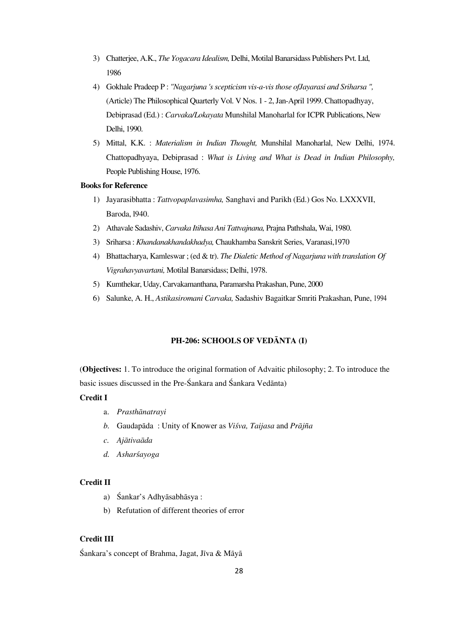- 3) Chatterjee, A.K., *The Yogacara Idealism,* Delhi, Motilal Banarsidass Publishers Pvt. Ltd, 1986
- 4) Gokhale Pradeep P : *"Nagarjuna 's scepticism vis-a-vis those ofJayarasi and Sriharsa ",*  (Article) The Philosophical Quarterly Vol. V Nos. 1 - 2, Jan-April 1999. Chattopadhyay, Debiprasad (Ed.) : *Carvaka/Lokayata* Munshilal Manoharlal for ICPR Publications, New Delhi, 1990.
- 5) Mittal, K.K. : *Materialism in Indian Thought,* Munshilal Manoharlal, New Delhi, 1974. Chattopadhyaya, Debiprasad : *What is Living and What is Dead in Indian Philosophy,*  People Publishing House, 1976.

#### **Books for Reference**

- 1) Jayarasibhatta : *Tattvopaplavasimha,* Sanghavi and Parikh (Ed.) Gos No. LXXXVII, Baroda, l940.
- 2) Athavale Sadashiv, *Carvaka Itihasa Ani Tattvajnana,* Prajna Pathshala, Wai, 1980.
- 3) Sriharsa : *Khandanakhandakhadya,* Chaukhamba Sanskrit Series, Varanasi,1970
- 4) Bhattacharya, Kamleswar ; (ed & tr). *The Dialetic Method of Nagarjuna with translation Of Vigrahavyavartani,* Motilal Banarsidass; Delhi, 1978.
- 5) Kumthekar, Uday, Carvakamanthana, Paramarsha Prakashan, Pune, 2000
- 6) Salunke, A. H., *Astikasiromani Carvaka,* Sadashiv Bagaitkar Smriti Prakashan, Pune, 1994

# **PH-206: SCHOOLS OF VEDÀNTA (I)**

(**Objectives:** 1. To introduce the original formation of Advaitic philosophy; 2. To introduce the basic issues discussed in the Pre-Śankara and Śankara Vedānta)

# **Credit I**

- a. Prasthānatrayi
- *b.* Gaudapāda : Unity of Knower as *Viśva, Taijasa* and *Prājña*
- *c. AjÁtivaÁda*
- d. Asharsayoga

#### **Credit II**

- a) Śankar's Adhyāsabhāsya :
- b) Refutation of different theories of error

# **Credit III**

 $\hat{\text{S}}$ ankara's concept of Brahma, Jagat, Jīva & Māyā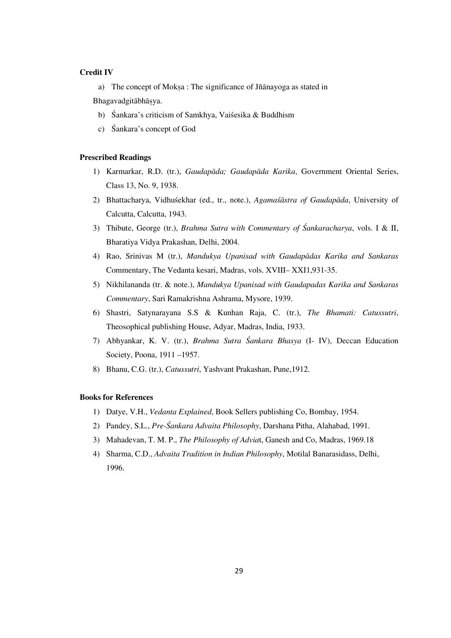## **Credit IV**

a) The concept of Moksa : The significance of Jñānayoga as stated in

Bhagavadgitābhāsya.

- b) Śankara's criticism of Samkhya, Vaiśesika & Buddhism
- c) Sankara's concept of God

#### **Prescribed Readings**

- 1) Karmarkar, R.D. (tr.), *Gaudapāda; Gaudapāda Karika*, Government Oriental Series, Class 13, No. 9, 1938.
- 2) Bhattacharya, Vidhuśekhar (ed., tr., note.), *Agamaśāstra of Gaudapāda*, University of Calcutta, Calcutta, 1943.
- 3) Thibute, George (tr.), *Brahma Sutra with Commentary of Ïankaracharya*, vols. I & II, Bharatiya Vidya Prakashan, Delhi, 2004.
- 4) Rao, Srinivas M (tr.), *Mandukya Upanisad with Gaudapādas Karika and Sankaras* Commentary, The Vedanta kesari, Madras, vols. XVIII— XXI1,931-35.
- 5) Nikhilananda (tr. & note.), *Mandukya Upanisad with Gaudapadas Karika and Sankaras Commentary*, Sari Ramakrishna Ashrama, Mysore, 1939.
- 6) Shastri, Satynarayana S.S & Kunhan Raja, C. (tr.), *The Bhamati: Catussutri*, Theosophical publishing House, Adyar, Madras, India, 1933.
- 7) Abhyankar, K. V. (tr.), *Brahma Sutra Ïankara Bhasya* (I- IV), Deccan Education Society, Poona, 1911 —1957.
- 8) Bhanu, C.G. (tr.), *Catussutri*, Yashvant Prakashan, Pune,1912.

## **Books for References**

- 1) Datye, V.H., *Vedanta Explained*, Book Sellers publishing Co, Bombay, 1954.
- 2) Pandey, S.L., *Pre-Ïankara Advaita Philosophy*, Darshana Pitha, Alahabad, 1991.
- 3) Mahadevan, T. M. P., *The Philosophy of Advia*t, Ganesh and Co, Madras, 1969.18
- 4) Sharma, C.D., *Advaita Tradition in Indian Philosophy*, Motilal Banarasidass, Delhi, 1996.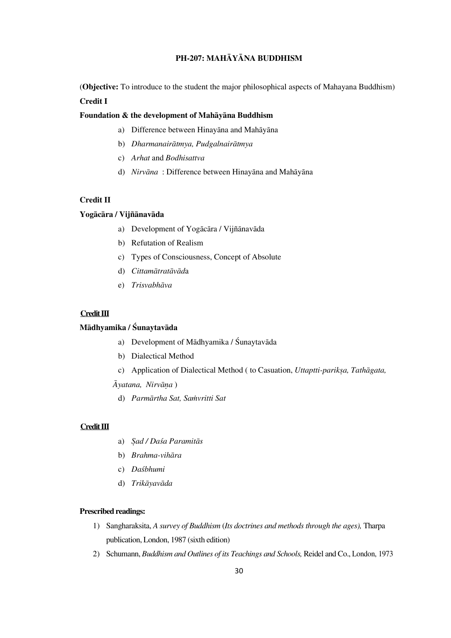# **PH-207: MAHÀYÀNA BUDDHISM**

(**Objective:** To introduce to the student the major philosophical aspects of Mahayana Buddhism) **Credit I** 

#### Foundation & the development of Mahayana Buddhism

- a) Difference between Hinayāna and Mahāyāna
- b) *Dharmanairātmya, Pudgalnairātmya*
- c) *Arhat* and *Bodhisattva*
- d) *Nirvāna* : Difference between Hinayāna and Mahāyāna

# **Credit II**

## Yogācāra / Vijñānavāda

- a) Development of Yogācāra / Vijñānavāda
- b) Refutation of Realism
- c) Types of Consciousness, Concept of Absolute
- d) *Cittamātratāvāda*
- e) *Trisvabhāva*

## **Credit III**

## **Mādhyamika / Śunaytavāda**

- a) Development of Mādhyamika / Śunaytavāda
- b) Dialectical Method
- c) Application of Dialectical Method ( to Casuation, *Uttaptti-parikṣa, Tathāgata,*

 $\bar{A}$ *yatana, Nirvāna*)

d) Parmārtha Sat, Samvritti Sat

## **Credit III**

- a) *Sad / Daśa Paramitās*
- b) *Brahma-vihāra*
- c) *DaÐbhumi*
- d) Trikāyavāda

## **Prescribed readings:**

- 1) Sangharaksita, *A survey of Buddhism* (*Its doctrines and methods through the ages),* Tharpa publication, London, 1987 (sixth edition)
- 2) Schumann, *Buddhism and Outlines of its Teachings and Schools,* Reidel and Co., London, 1973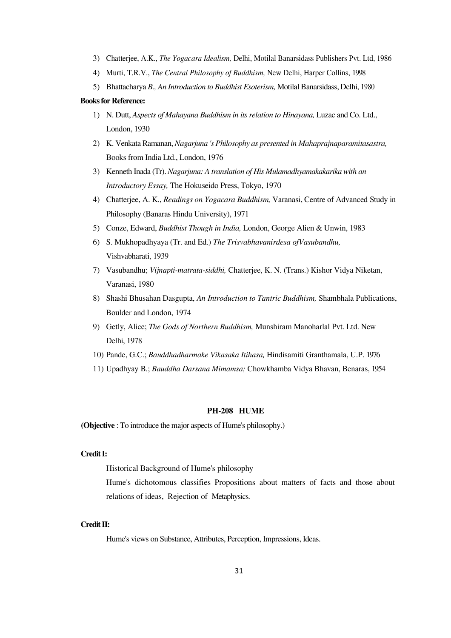- 3) Chatterjee, A.K., *The Yogacara Idealism,* Delhi, Motilal Banarsidass Publishers Pvt. Ltd, 1986
- 4) Murti, T.R.V., *The Central Philosophy of Buddhism,* New Delhi, Harper Collins, 1998
- 5) Bhattacharya *B., An Introduction to Buddhist Esoterism,* Motilal Banarsidass, Delhi, 1980

#### **Books for Reference:**

- 1) N. Dutt, *Aspects of Mahayana Buddhism in its relation to Hinayana,* Luzac and Co. Ltd., London, 1930
- 2) K. Venkata Ramanan, *Nagarjuna 's Philosophy as presented in Mahaprajnaparamitasastra,*  Books from India Ltd., London, 1976
- 3) Kenneth Inada (Tr). *Nagarjuna: A translation of His Mulamadhyamakakarika with an Introductory Essay,* The Hokuseido Press, Tokyo, 1970
- 4) Chatterjee, A. K., *Readings on Yogacara Buddhism,* Varanasi, Centre of Advanced Study in Philosophy (Banaras Hindu University), 1971
- 5) Conze, Edward, *Buddhist Though in India,* London, George Alien & Unwin, 1983
- 6) S. Mukhopadhyaya (Tr. and Ed.) *The Trisvabhavanirdesa ofVasubandhu,*  Vishvabharati, 1939
- 7) Vasubandhu; *Vijnapti-matrata-siddhi,* Chatterjee, K. N. (Trans.) Kishor Vidya Niketan, Varanasi, 1980
- 8) Shashi Bhusahan Dasgupta, *An Introduction to Tantric Buddhism,* Shambhala Publications, Boulder and London, 1974
- 9) Getly, Alice; *The Gods of Northern Buddhism,* Munshiram Manoharlal Pvt. Ltd. New Delhi, 1978
- 10) Pande, G.C.; *Bauddhadharmake Vikasaka Itihasa,* Hindisamiti Granthamala, U.P. 1976
- 11) Upadhyay B.; *Bauddha Darsana Mimamsa;* Chowkhamba Vidya Bhavan, Benaras, 1954

## **PH-208 HUME**

**(Objective** : To introduce the major aspects of Hume's philosophy.)

### **Credit I:**

Historical Background of Hume's philosophy

Hume's dichotomous classifies Propositions about matters of facts and those about relations of ideas, Rejection of Metaphysics.

#### **Credit II:**

Hume's views on Substance, Attributes, Perception, Impressions, Ideas.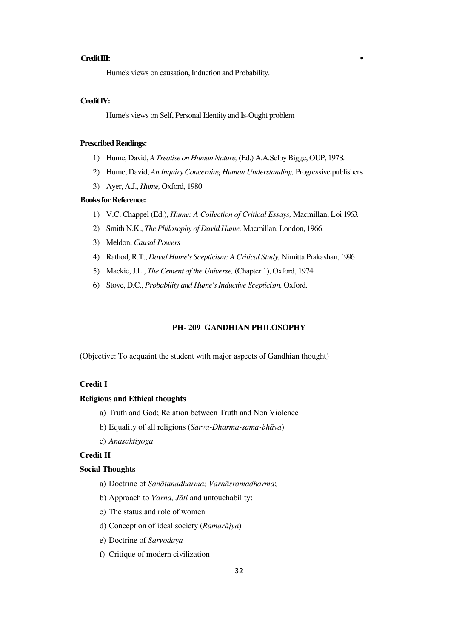#### **Credit III: •**

Hume's views on causation, Induction and Probability.

## **Credit IV:**

Hume's views on Self, Personal Identity and Is-Ought problem

#### **Prescribed Readings:**

- 1) Hume, David, *A Treatise on Human Nature,* (Ed.) A.A.Selby Bigge, OUP, 1978.
- 2) Hume, David, *An Inquiry Concerning Human Understanding,* Progressive publishers
- 3) Ayer, A.J., *Hume,* Oxford, 1980

#### **Books for Reference:**

- 1) V.C. Chappel (Ed.), *Hume: A Collection of Critical Essays,* Macmillan, Loi 1963.
- 2) Smith N.K., *The Philosophy of David Hume,* Macmillan, London, 1966.
- 3) Meldon, *Causal Powers*
- 4) Rathod, R.T., *David Hume's Scepticism: A Critical Study,* Nimitta Prakashan, 1996.
- 5) Mackie, J.L., *The Cement of the Universe,* (Chapter 1), Oxford, 1974
- 6) Stove, D.C., *Probability and Hume's Inductive Scepticism,* Oxford.

## **PH- 209 GANDHIAN PHILOSOPHY**

(Objective: To acquaint the student with major aspects of Gandhian thought)

# **Credit I**

#### **Religious and Ethical thoughts**

- a) Truth and God; Relation between Truth and Non Violence
- b) Equality of all religions (*Sarva-Dharma-sama-bhāva*)
- c) *AnÁsaktiyoga*

#### **Credit II**

#### **Social Thoughts**

- a) Doctrine of *Sanātanadharma*; Varnāsramadharma;
- b) Approach to *Varna*, *Jāti* and untouchability;
- c) The status and role of women
- d) Conception of ideal society (Ramarājya)
- e) Doctrine of *Sarvodaya*
- f) Critique of modern civilization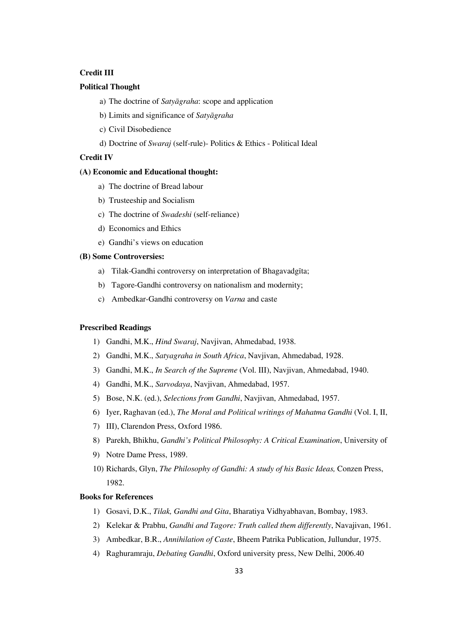# **Credit III**

#### **Political Thought**

- a) The doctrine of *Satyāgraha*: scope and application
- b) Limits and significance of *Satyāgraha*
- c) Civil Disobedience
- d) Doctrine of *Swaraj* (self-rule)- Politics & Ethics Political Ideal

#### **Credit IV**

#### **(A) Economic and Educational thought:**

- a) The doctrine of Bread labour
- b) Trusteeship and Socialism
- c) The doctrine of *Swadeshi* (self-reliance)
- d) Economics and Ethics
- e) Gandhi's views on education

#### **(B) Some Controversies:**

- a) Tilak-Gandhi controversy on interpretation of Bhagavadgīta;
- b) Tagore-Gandhi controversy on nationalism and modernity;
- c) Ambedkar-Gandhi controversy on *Varna* and caste

#### **Prescribed Readings**

- 1) Gandhi, M.K., *Hind Swaraj*, Navjivan, Ahmedabad, 1938.
- 2) Gandhi, M.K., *Satyagraha in South Africa*, Navjivan, Ahmedabad, 1928.
- 3) Gandhi, M.K., *In Search of the Supreme* (Vol. III), Navjivan, Ahmedabad, 1940.
- 4) Gandhi, M.K., *Sarvodaya*, Navjivan, Ahmedabad, 1957.
- 5) Bose, N.K. (ed.), *Selections from Gandhi*, Navjivan, Ahmedabad, 1957.
- 6) Iyer, Raghavan (ed.), *The Moral and Political writings of Mahatma Gandhi* (Vol. I, II,
- 7) III), Clarendon Press, Oxford 1986.
- 8) Parekh, Bhikhu, *Gandhi's Political Philosophy: A Critical Examination*, University of
- 9) Notre Dame Press, 1989.
- 10) Richards, Glyn, *The Philosophy of Gandhi: A study of his Basic Ideas,* Conzen Press, 1982.

## **Books for References**

- 1) Gosavi, D.K., *Tilak, Gandhi and Gita*, Bharatiya Vidhyabhavan, Bombay, 1983.
- 2) Kelekar & Prabhu, *Gandhi and Tagore: Truth called them differently*, Navajivan, 1961.
- 3) Ambedkar, B.R., *Annihilation of Caste*, Bheem Patrika Publication, Jullundur, 1975.
- 4) Raghuramraju, *Debating Gandhi*, Oxford university press, New Delhi, 2006.40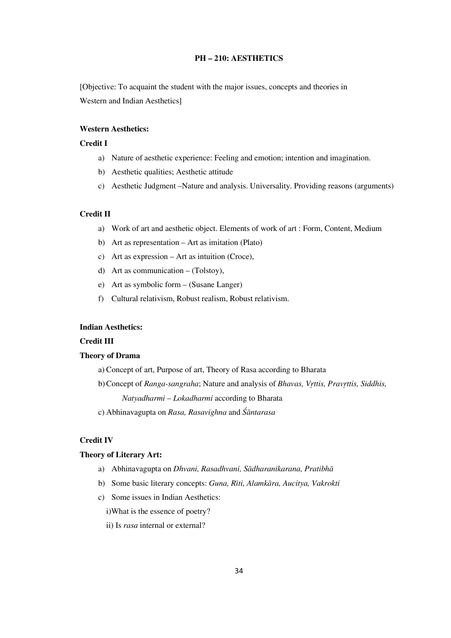# **PH — 210: AESTHETICS**

[Objective: To acquaint the student with the major issues, concepts and theories in Western and Indian Aesthetics]

# **Western Aesthetics:**

## **Credit I**

- a) Nature of aesthetic experience: Feeling and emotion; intention and imagination.
- b) Aesthetic qualities; Aesthetic attitude
- c) Aesthetic Judgment —Nature and analysis. Universality. Providing reasons (arguments)

# **Credit II**

- a) Work of art and aesthetic object. Elements of work of art : Form, Content, Medium
- b) Art as representation Art as imitation (Plato)
- c) Art as expression Art as intuition (Croce),
- d) Art as communication (Tolstoy),
- e) Art as symbolic form (Susane Langer)
- f) Cultural relativism, Robust realism, Robust relativism.

## **Indian Aesthetics:**

### **Credit III**

# **Theory of Drama**

a) Concept of art, Purpose of art, Theory of Rasa according to Bharata

b) Concept of *Ranga-sangraha*; Nature and analysis of *Bhavas, Vrttis, Pravrttis, Siddhis, Natyadharmi — Lokadharmi* according to Bharata

c) Abhinavagupta on *Rasa, Rasavighna* and *ÏÁntarasa*

#### **Credit IV**

#### **Theory of Literary Art:**

- a) Abhinavagupta on *Dhvani, Rasadhvani, Sādharanikarana, Pratibhā*
- b) Some basic literary concepts: *Guna, Rīti, Alamkāra, Aucitya, Vakrokti*
- c) Some issues in Indian Aesthetics:
	- i)What is the essence of poetry?
	- ii) Is *rasa* internal or external?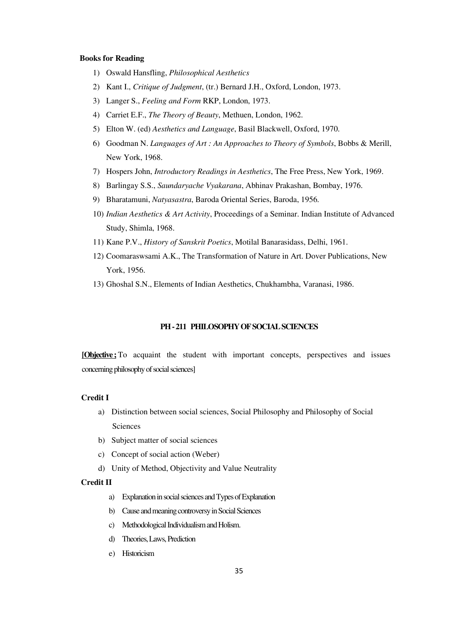#### **Books for Reading**

- 1) Oswald Hansfling, *Philosophical Aesthetics*
- 2) Kant I., *Critique of Judgment*, (tr.) Bernard J.H., Oxford, London, 1973.
- 3) Langer S., *Feeling and Form* RKP, London, 1973.
- 4) Carriet E.F., *The Theory of Beauty*, Methuen, London, 1962.
- 5) Elton W. (ed) *Aesthetics and Language*, Basil Blackwell, Oxford, 1970.
- 6) Goodman N. *Languages of Art : An Approaches to Theory of Symbols*, Bobbs & Merill, New York, 1968.
- 7) Hospers John, *Introductory Readings in Aesthetics*, The Free Press, New York, 1969.
- 8) Barlingay S.S., *Saundaryache Vyakarana*, Abhinav Prakashan, Bombay, 1976.
- 9) Bharatamuni, *Natyasastra*, Baroda Oriental Series, Baroda, 1956.
- 10) *Indian Aesthetics & Art Activity*, Proceedings of a Seminar. Indian Institute of Advanced Study, Shimla, 1968.
- 11) Kane P.V., *History of Sanskrit Poetics*, Motilal Banarasidass, Delhi, 1961.
- 12) Coomaraswsami A.K., The Transformation of Nature in Art. Dover Publications, New York, 1956.
- 13) Ghoshal S.N., Elements of Indian Aesthetics, Chukhambha, Varanasi, 1986.

# **PH - 211 PHILOSOPHY OF SOCIAL SCIENCES**

**[Objective ;** To acquaint the student with important concepts, perspectives and issues concerning philosophy of social sciences]

# **Credit I**

- a) Distinction between social sciences, Social Philosophy and Philosophy of Social Sciences
- b) Subject matter of social sciences
- c) Concept of social action (Weber)
- d) Unity of Method, Objectivity and Value Neutrality

#### **Credit II**

- a) Explanation in social sciences and Types of Explanation
- b) Cause and meaning controversy in Social Sciences
- c) Methodological Individualism and Holism.
- d) Theories, Laws, Prediction
- e) Historicism